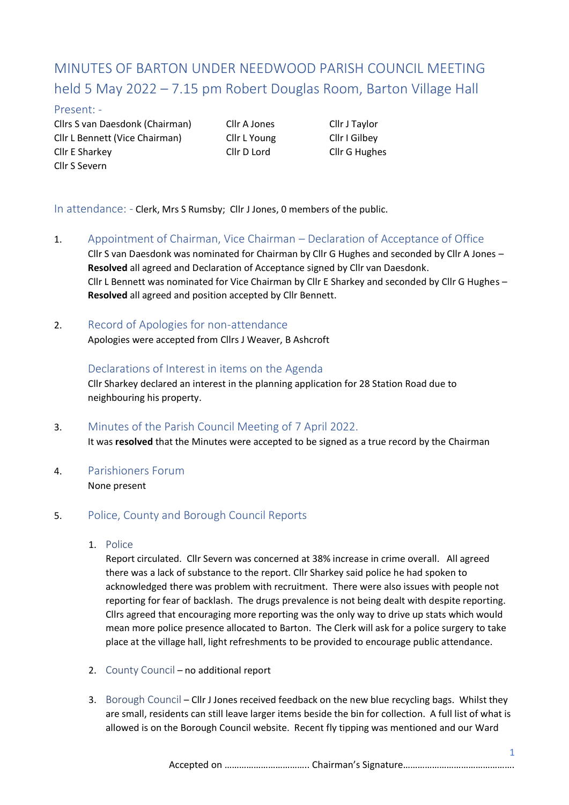# MINUTES OF BARTON UNDER NEEDWOOD PARISH COUNCIL MEETING held 5 May 2022 – 7.15 pm Robert Douglas Room, Barton Village Hall

#### Present: -

Cllrs S van Daesdonk (Chairman) Cllr A Jones Cllr J Taylor Cllr L Bennett (Vice Chairman) Cllr L Young Cllr I Gilbey Cllr E Sharkey Cllr D Lord Cllr G Hughes Cllr S Severn

In attendance: - Clerk, Mrs S Rumsby; Cllr J Jones, 0 members of the public.

- 1. Appointment of Chairman, Vice Chairman Declaration of Acceptance of Office Cllr S van Daesdonk was nominated for Chairman by Cllr G Hughes and seconded by Cllr A Jones – **Resolved** all agreed and Declaration of Acceptance signed by Cllr van Daesdonk. Cllr L Bennett was nominated for Vice Chairman by Cllr E Sharkey and seconded by Cllr G Hughes – **Resolved** all agreed and position accepted by Cllr Bennett.
- 2. Record of Apologies for non-attendance

Apologies were accepted from Cllrs J Weaver, B Ashcroft

Declarations of Interest in items on the Agenda Cllr Sharkey declared an interest in the planning application for 28 Station Road due to neighbouring his property.

- 3. Minutes of the Parish Council Meeting of 7 April 2022. It was **resolved** that the Minutes were accepted to be signed as a true record by the Chairman
- 4. Parishioners Forum

None present

## 5. Police, County and Borough Council Reports

1. Police

Report circulated. Cllr Severn was concerned at 38% increase in crime overall. All agreed there was a lack of substance to the report. Cllr Sharkey said police he had spoken to acknowledged there was problem with recruitment. There were also issues with people not reporting for fear of backlash. The drugs prevalence is not being dealt with despite reporting. Cllrs agreed that encouraging more reporting was the only way to drive up stats which would mean more police presence allocated to Barton. The Clerk will ask for a police surgery to take place at the village hall, light refreshments to be provided to encourage public attendance.

- 2. County Council no additional report
- 3. Borough Council Cllr J Jones received feedback on the new blue recycling bags. Whilst they are small, residents can still leave larger items beside the bin for collection. A full list of what is allowed is on the Borough Council website. Recent fly tipping was mentioned and our Ward

Accepted on …………………………….. Chairman's Signature……………………………………….

1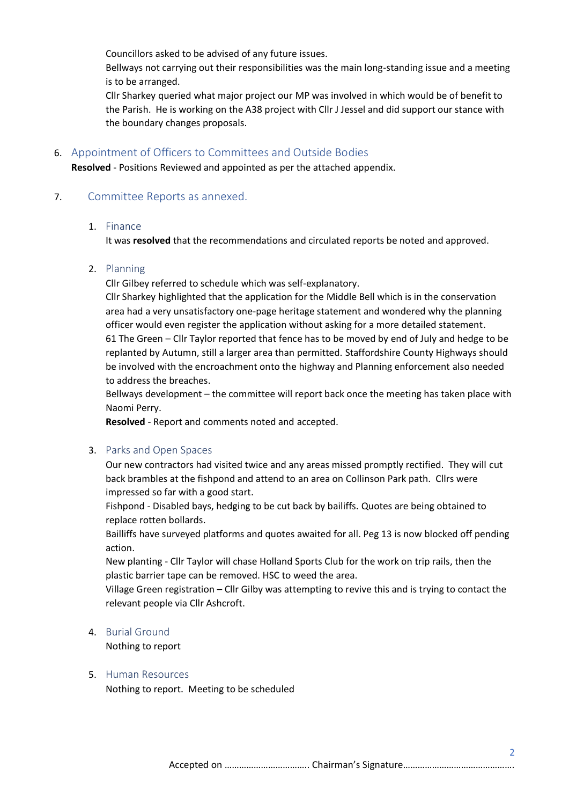Councillors asked to be advised of any future issues.

Bellways not carrying out their responsibilities was the main long-standing issue and a meeting is to be arranged.

Cllr Sharkey queried what major project our MP was involved in which would be of benefit to the Parish. He is working on the A38 project with Cllr J Jessel and did support our stance with the boundary changes proposals.

#### 6. Appointment of Officers to Committees and Outside Bodies

**Resolved** - Positions Reviewed and appointed as per the attached appendix.

## 7. Committee Reports as annexed.

#### 1. Finance

It was **resolved** that the recommendations and circulated reports be noted and approved.

## 2. Planning

Cllr Gilbey referred to schedule which was self-explanatory.

Cllr Sharkey highlighted that the application for the Middle Bell which is in the conservation area had a very unsatisfactory one-page heritage statement and wondered why the planning officer would even register the application without asking for a more detailed statement. 61 The Green – Cllr Taylor reported that fence has to be moved by end of July and hedge to be replanted by Autumn, still a larger area than permitted. Staffordshire County Highways should be involved with the encroachment onto the highway and Planning enforcement also needed to address the breaches.

Bellways development – the committee will report back once the meeting has taken place with Naomi Perry.

**Resolved** - Report and comments noted and accepted.

## 3. Parks and Open Spaces

Our new contractors had visited twice and any areas missed promptly rectified. They will cut back brambles at the fishpond and attend to an area on Collinson Park path. Cllrs were impressed so far with a good start.

Fishpond - Disabled bays, hedging to be cut back by bailiffs. Quotes are being obtained to replace rotten bollards.

Bailliffs have surveyed platforms and quotes awaited for all. Peg 13 is now blocked off pending action.

New planting - Cllr Taylor will chase Holland Sports Club for the work on trip rails, then the plastic barrier tape can be removed. HSC to weed the area.

Village Green registration – Cllr Gilby was attempting to revive this and is trying to contact the relevant people via Cllr Ashcroft.

## 4. Burial Ground

Nothing to report

#### 5. Human Resources

Nothing to report. Meeting to be scheduled

2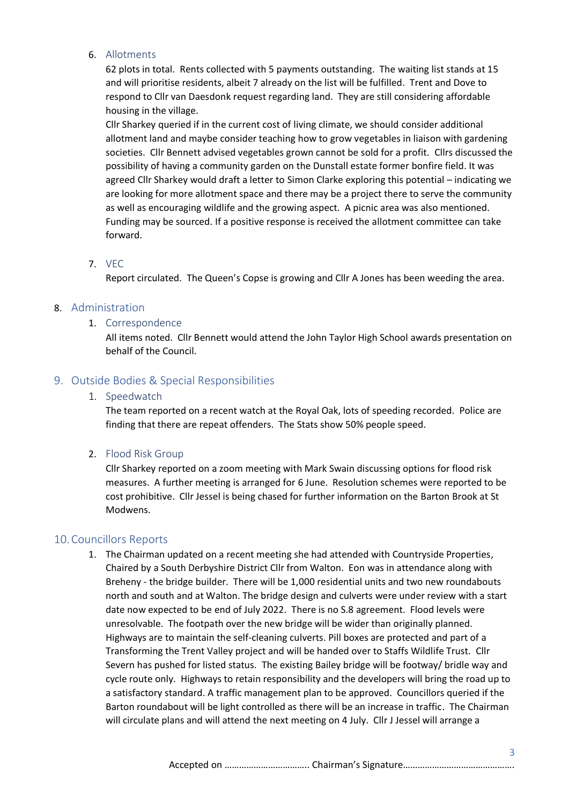#### 6. Allotments

62 plots in total. Rents collected with 5 payments outstanding. The waiting list stands at 15 and will prioritise residents, albeit 7 already on the list will be fulfilled. Trent and Dove to respond to Cllr van Daesdonk request regarding land. They are still considering affordable housing in the village.

Cllr Sharkey queried if in the current cost of living climate, we should consider additional allotment land and maybe consider teaching how to grow vegetables in liaison with gardening societies. Cllr Bennett advised vegetables grown cannot be sold for a profit. Cllrs discussed the possibility of having a community garden on the Dunstall estate former bonfire field. It was agreed Cllr Sharkey would draft a letter to Simon Clarke exploring this potential – indicating we are looking for more allotment space and there may be a project there to serve the community as well as encouraging wildlife and the growing aspect. A picnic area was also mentioned. Funding may be sourced. If a positive response is received the allotment committee can take forward.

#### 7. VEC

Report circulated. The Queen's Copse is growing and Cllr A Jones has been weeding the area.

## 8. Administration

## 1. Correspondence

All items noted. Cllr Bennett would attend the John Taylor High School awards presentation on behalf of the Council.

## 9. Outside Bodies & Special Responsibilities

#### 1. Speedwatch

The team reported on a recent watch at the Royal Oak, lots of speeding recorded. Police are finding that there are repeat offenders. The Stats show 50% people speed.

## 2. Flood Risk Group

Cllr Sharkey reported on a zoom meeting with Mark Swain discussing options for flood risk measures. A further meeting is arranged for 6 June. Resolution schemes were reported to be cost prohibitive. Cllr Jessel is being chased for further information on the Barton Brook at St Modwens.

## 10.Councillors Reports

1. The Chairman updated on a recent meeting she had attended with Countryside Properties, Chaired by a South Derbyshire District Cllr from Walton. Eon was in attendance along with Breheny - the bridge builder. There will be 1,000 residential units and two new roundabouts north and south and at Walton. The bridge design and culverts were under review with a start date now expected to be end of July 2022. There is no S.8 agreement. Flood levels were unresolvable. The footpath over the new bridge will be wider than originally planned. Highways are to maintain the self-cleaning culverts. Pill boxes are protected and part of a Transforming the Trent Valley project and will be handed over to Staffs Wildlife Trust. Cllr Severn has pushed for listed status. The existing Bailey bridge will be footway/ bridle way and cycle route only. Highways to retain responsibility and the developers will bring the road up to a satisfactory standard. A traffic management plan to be approved. Councillors queried if the Barton roundabout will be light controlled as there will be an increase in traffic. The Chairman will circulate plans and will attend the next meeting on 4 July. Cllr J Jessel will arrange a